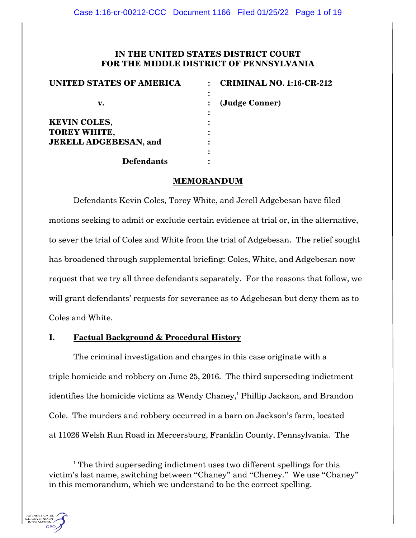# **IN THE UNITED STATES DISTRICT COURT FOR THE MIDDLE DISTRICT OF PENNSYLVANIA**

| <b>UNITED STATES OF AMERICA</b> | <b>CRIMINAL NO. 1:16-CR-212</b> |
|---------------------------------|---------------------------------|
| v.                              | (Judge Conner)                  |
| <b>KEVIN COLES,</b>             |                                 |
| <b>TOREY WHITE,</b>             |                                 |
| <b>JERELL ADGEBESAN, and</b>    |                                 |
|                                 |                                 |
| <b>Defendants</b>               |                                 |

# **MEMORANDUM**

Defendants Kevin Coles, Torey White, and Jerell Adgebesan have filed motions seeking to admit or exclude certain evidence at trial or, in the alternative, to sever the trial of Coles and White from the trial of Adgebesan. The relief sought has broadened through supplemental briefing: Coles, White, and Adgebesan now request that we try all three defendants separately. For the reasons that follow, we will grant defendants' requests for severance as to Adgebesan but deny them as to Coles and White.

# **I. Factual Background & Procedural History**

The criminal investigation and charges in this case originate with a triple homicide and robbery on June 25, 2016. The third superseding indictment identifies the homicide victims as Wendy Chaney,<sup>1</sup> Phillip Jackson, and Brandon Cole. The murders and robbery occurred in a barn on Jackson's farm, located at 11026 Welsh Run Road in Mercersburg, Franklin County, Pennsylvania. The

 $1$  The third superseding indictment uses two different spellings for this victim's last name, switching between "Chaney" and "Cheney." We use "Chaney" in this memorandum, which we understand to be the correct spelling.

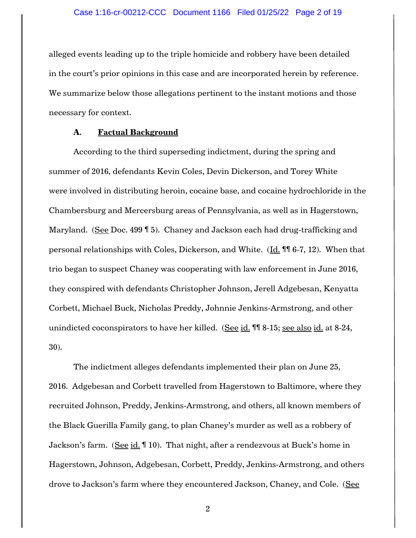alleged events leading up to the triple homicide and robbery have been detailed in the court's prior opinions in this case and are incorporated herein by reference. We summarize below those allegations pertinent to the instant motions and those necessary for context.

## **A. Factual Background**

According to the third superseding indictment, during the spring and summer of 2016, defendants Kevin Coles, Devin Dickerson, and Torey White were involved in distributing heroin, cocaine base, and cocaine hydrochloride in the Chambersburg and Mercersburg areas of Pennsylvania, as well as in Hagerstown, Maryland. (See Doc. 499 ¶ 5). Chaney and Jackson each had drug-trafficking and personal relationships with Coles, Dickerson, and White. (Id. ¶¶ 6-7, 12). When that trio began to suspect Chaney was cooperating with law enforcement in June 2016, they conspired with defendants Christopher Johnson, Jerell Adgebesan, Kenyatta Corbett, Michael Buck, Nicholas Preddy, Johnnie Jenkins-Armstrong, and other unindicted coconspirators to have her killed. (See id. ¶¶ 8-15; see also id. at 8-24, 30).

The indictment alleges defendants implemented their plan on June 25, 2016. Adgebesan and Corbett travelled from Hagerstown to Baltimore, where they recruited Johnson, Preddy, Jenkins-Armstrong, and others, all known members of the Black Guerilla Family gang, to plan Chaney's murder as well as a robbery of Jackson's farm. (See id. ¶ 10). That night, after a rendezvous at Buck's home in Hagerstown, Johnson, Adgebesan, Corbett, Preddy, Jenkins-Armstrong, and others drove to Jackson's farm where they encountered Jackson, Chaney, and Cole. (See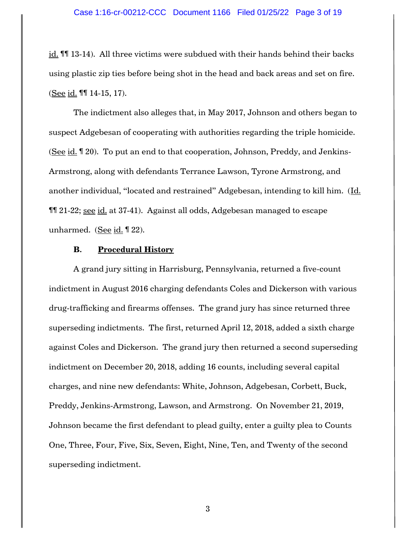id. ¶¶ 13-14). All three victims were subdued with their hands behind their backs using plastic zip ties before being shot in the head and back areas and set on fire. (See id. ¶¶ 14-15, 17).

The indictment also alleges that, in May 2017, Johnson and others began to suspect Adgebesan of cooperating with authorities regarding the triple homicide. (See id. ¶ 20). To put an end to that cooperation, Johnson, Preddy, and Jenkins-Armstrong, along with defendants Terrance Lawson, Tyrone Armstrong, and another individual, "located and restrained" Adgebesan, intending to kill him. (Id. ¶¶ 21-22; see id. at 37-41). Against all odds, Adgebesan managed to escape unharmed. (See  $id. \P 22$ ).

## **B. Procedural History**

A grand jury sitting in Harrisburg, Pennsylvania, returned a five-count indictment in August 2016 charging defendants Coles and Dickerson with various drug-trafficking and firearms offenses. The grand jury has since returned three superseding indictments. The first, returned April 12, 2018, added a sixth charge against Coles and Dickerson. The grand jury then returned a second superseding indictment on December 20, 2018, adding 16 counts, including several capital charges, and nine new defendants: White, Johnson, Adgebesan, Corbett, Buck, Preddy, Jenkins-Armstrong, Lawson, and Armstrong. On November 21, 2019, Johnson became the first defendant to plead guilty, enter a guilty plea to Counts One, Three, Four, Five, Six, Seven, Eight, Nine, Ten, and Twenty of the second superseding indictment.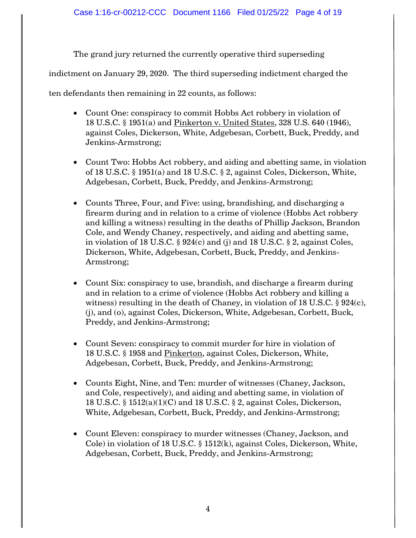The grand jury returned the currently operative third superseding

indictment on January 29, 2020. The third superseding indictment charged the

ten defendants then remaining in 22 counts, as follows:

- Count One: conspiracy to commit Hobbs Act robbery in violation of 18 U.S.C. § 1951(a) and Pinkerton v. United States, 328 U.S. 640 (1946), against Coles, Dickerson, White, Adgebesan, Corbett, Buck, Preddy, and Jenkins-Armstrong;
- Count Two: Hobbs Act robbery, and aiding and abetting same, in violation of 18 U.S.C. § 1951(a) and 18 U.S.C. § 2, against Coles, Dickerson, White, Adgebesan, Corbett, Buck, Preddy, and Jenkins-Armstrong;
- Counts Three, Four, and Five: using, brandishing, and discharging a firearm during and in relation to a crime of violence (Hobbs Act robbery and killing a witness) resulting in the deaths of Phillip Jackson, Brandon Cole, and Wendy Chaney, respectively, and aiding and abetting same, in violation of 18 U.S.C. § 924(c) and (j) and 18 U.S.C. § 2, against Coles, Dickerson, White, Adgebesan, Corbett, Buck, Preddy, and Jenkins-Armstrong;
- Count Six: conspiracy to use, brandish, and discharge a firearm during and in relation to a crime of violence (Hobbs Act robbery and killing a witness) resulting in the death of Chaney, in violation of 18 U.S.C.  $\S$  924(c), (j), and (o), against Coles, Dickerson, White, Adgebesan, Corbett, Buck, Preddy, and Jenkins-Armstrong;
- Count Seven: conspiracy to commit murder for hire in violation of 18 U.S.C. § 1958 and Pinkerton, against Coles, Dickerson, White, Adgebesan, Corbett, Buck, Preddy, and Jenkins-Armstrong;
- Counts Eight, Nine, and Ten: murder of witnesses (Chaney, Jackson, and Cole, respectively), and aiding and abetting same, in violation of 18 U.S.C. § 1512(a)(1)(C) and 18 U.S.C. § 2, against Coles, Dickerson, White, Adgebesan, Corbett, Buck, Preddy, and Jenkins-Armstrong;
- Count Eleven: conspiracy to murder witnesses (Chaney, Jackson, and Cole) in violation of 18 U.S.C. § 1512(k), against Coles, Dickerson, White, Adgebesan, Corbett, Buck, Preddy, and Jenkins-Armstrong;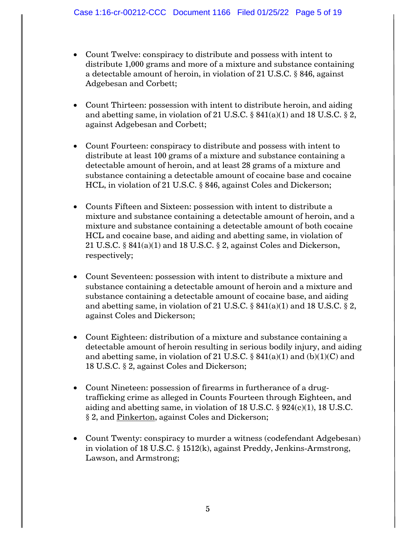- Count Twelve: conspiracy to distribute and possess with intent to distribute 1,000 grams and more of a mixture and substance containing a detectable amount of heroin, in violation of 21 U.S.C. § 846, against Adgebesan and Corbett;
- Count Thirteen: possession with intent to distribute heroin, and aiding and abetting same, in violation of 21 U.S.C.  $\S$  841(a)(1) and 18 U.S.C.  $\S$  2, against Adgebesan and Corbett;
- Count Fourteen: conspiracy to distribute and possess with intent to distribute at least 100 grams of a mixture and substance containing a detectable amount of heroin, and at least 28 grams of a mixture and substance containing a detectable amount of cocaine base and cocaine HCL, in violation of 21 U.S.C. § 846, against Coles and Dickerson;
- Counts Fifteen and Sixteen: possession with intent to distribute a mixture and substance containing a detectable amount of heroin, and a mixture and substance containing a detectable amount of both cocaine HCL and cocaine base, and aiding and abetting same, in violation of 21 U.S.C.  $\S 841(a)(1)$  and 18 U.S.C.  $\S 2$ , against Coles and Dickerson, respectively;
- Count Seventeen: possession with intent to distribute a mixture and substance containing a detectable amount of heroin and a mixture and substance containing a detectable amount of cocaine base, and aiding and abetting same, in violation of 21 U.S.C.  $\S$  841(a)(1) and 18 U.S.C.  $\S$  2, against Coles and Dickerson;
- Count Eighteen: distribution of a mixture and substance containing a detectable amount of heroin resulting in serious bodily injury, and aiding and abetting same, in violation of 21 U.S.C.  $\S$  841(a)(1) and (b)(1)(C) and 18 U.S.C. § 2, against Coles and Dickerson;
- Count Nineteen: possession of firearms in furtherance of a drugtrafficking crime as alleged in Counts Fourteen through Eighteen, and aiding and abetting same, in violation of 18 U.S.C.  $\S$  924(c)(1), 18 U.S.C. § 2, and Pinkerton, against Coles and Dickerson;
- Count Twenty: conspiracy to murder a witness (codefendant Adgebesan) in violation of 18 U.S.C. § 1512(k), against Preddy, Jenkins-Armstrong, Lawson, and Armstrong;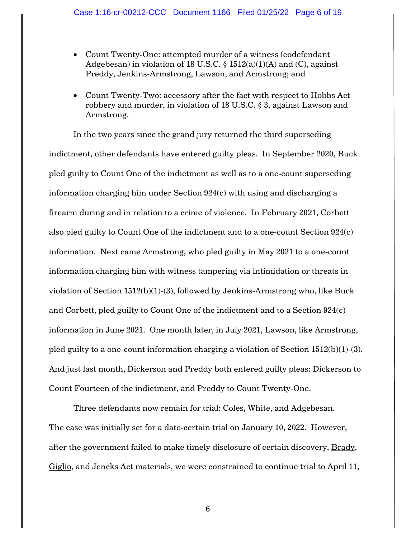- Count Twenty-One: attempted murder of a witness (codefendant Adgebesan) in violation of 18 U.S.C.  $\S$  1512(a)(1)(A) and (C), against Preddy, Jenkins-Armstrong, Lawson, and Armstrong; and
- Count Twenty-Two: accessory after the fact with respect to Hobbs Act robbery and murder, in violation of 18 U.S.C. § 3, against Lawson and Armstrong.

In the two years since the grand jury returned the third superseding indictment, other defendants have entered guilty pleas. In September 2020, Buck pled guilty to Count One of the indictment as well as to a one-count superseding information charging him under Section 924(c) with using and discharging a firearm during and in relation to a crime of violence. In February 2021, Corbett also pled guilty to Count One of the indictment and to a one-count Section 924(c) information. Next came Armstrong, who pled guilty in May 2021 to a one-count information charging him with witness tampering via intimidation or threats in violation of Section 1512(b)(1)-(3), followed by Jenkins-Armstrong who, like Buck and Corbett, pled guilty to Count One of the indictment and to a Section 924(c) information in June 2021. One month later, in July 2021, Lawson, like Armstrong, pled guilty to a one-count information charging a violation of Section 1512(b)(1)-(3). And just last month, Dickerson and Preddy both entered guilty pleas: Dickerson to Count Fourteen of the indictment, and Preddy to Count Twenty-One.

Three defendants now remain for trial: Coles, White, and Adgebesan. The case was initially set for a date-certain trial on January 10, 2022. However, after the government failed to make timely disclosure of certain discovery, Brady, Giglio, and Jencks Act materials, we were constrained to continue trial to April 11,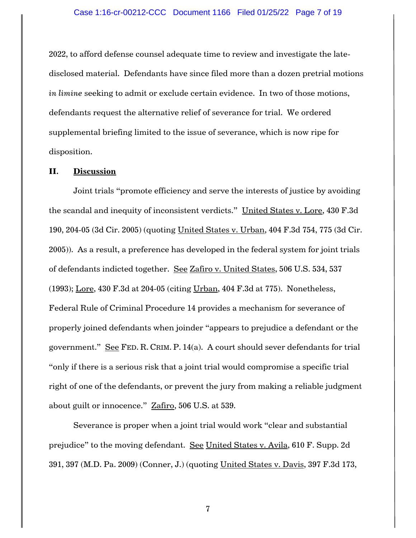2022, to afford defense counsel adequate time to review and investigate the latedisclosed material. Defendants have since filed more than a dozen pretrial motions *in limine* seeking to admit or exclude certain evidence. In two of those motions, defendants request the alternative relief of severance for trial. We ordered supplemental briefing limited to the issue of severance, which is now ripe for disposition.

## **II. Discussion**

Joint trials "promote efficiency and serve the interests of justice by avoiding the scandal and inequity of inconsistent verdicts." United States v. Lore, 430 F.3d 190, 204-05 (3d Cir. 2005) (quoting United States v. Urban, 404 F.3d 754, 775 (3d Cir. 2005)). As a result, a preference has developed in the federal system for joint trials of defendants indicted together. See Zafiro v. United States, 506 U.S. 534, 537 (1993); Lore, 430 F.3d at 204-05 (citing Urban, 404 F.3d at 775). Nonetheless, Federal Rule of Criminal Procedure 14 provides a mechanism for severance of properly joined defendants when joinder "appears to prejudice a defendant or the government." See FED. R. CRIM. P. 14(a). A court should sever defendants for trial "only if there is a serious risk that a joint trial would compromise a specific trial right of one of the defendants, or prevent the jury from making a reliable judgment about guilt or innocence." Zafiro, 506 U.S. at 539.

Severance is proper when a joint trial would work "clear and substantial prejudice" to the moving defendant. See United States v. Avila, 610 F. Supp. 2d 391, 397 (M.D. Pa. 2009) (Conner, J.) (quoting United States v. Davis, 397 F.3d 173,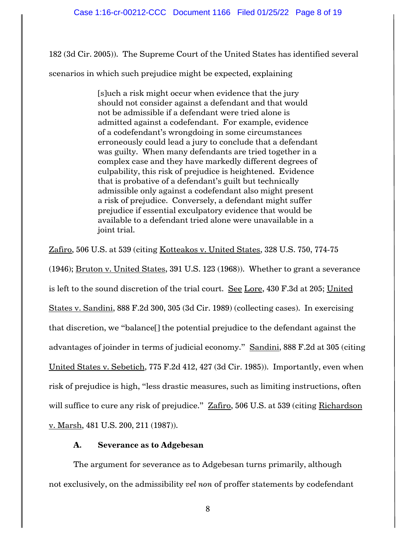182 (3d Cir. 2005)). The Supreme Court of the United States has identified several

scenarios in which such prejudice might be expected, explaining

[s]uch a risk might occur when evidence that the jury should not consider against a defendant and that would not be admissible if a defendant were tried alone is admitted against a codefendant. For example, evidence of a codefendant's wrongdoing in some circumstances erroneously could lead a jury to conclude that a defendant was guilty. When many defendants are tried together in a complex case and they have markedly different degrees of culpability, this risk of prejudice is heightened. Evidence that is probative of a defendant's guilt but technically admissible only against a codefendant also might present a risk of prejudice. Conversely, a defendant might suffer prejudice if essential exculpatory evidence that would be available to a defendant tried alone were unavailable in a joint trial.

Zafiro, 506 U.S. at 539 (citing Kotteakos v. United States, 328 U.S. 750, 774-75 (1946); Bruton v. United States, 391 U.S. 123 (1968)). Whether to grant a severance is left to the sound discretion of the trial court. See Lore, 430 F.3d at 205; United States v. Sandini, 888 F.2d 300, 305 (3d Cir. 1989) (collecting cases). In exercising that discretion, we "balance[] the potential prejudice to the defendant against the advantages of joinder in terms of judicial economy." Sandini, 888 F.2d at 305 (citing United States v. Sebetich, 775 F.2d 412, 427 (3d Cir. 1985)). Importantly, even when risk of prejudice is high, "less drastic measures, such as limiting instructions, often will suffice to cure any risk of prejudice." **Zafiro, 506 U.S. at 539** (citing Richardson v. Marsh, 481 U.S. 200, 211 (1987)).

# **A. Severance as to Adgebesan**

The argument for severance as to Adgebesan turns primarily, although not exclusively, on the admissibility *vel non* of proffer statements by codefendant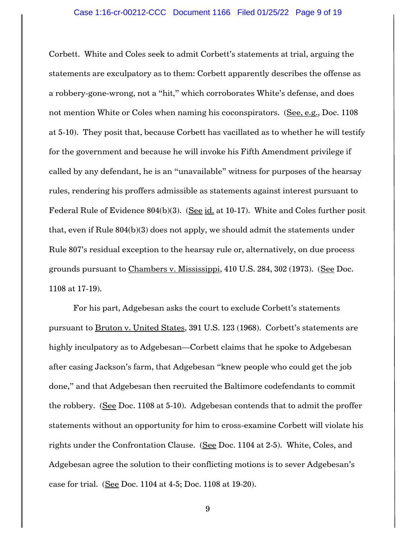Corbett. White and Coles seek to admit Corbett's statements at trial, arguing the statements are exculpatory as to them: Corbett apparently describes the offense as a robbery-gone-wrong, not a "hit," which corroborates White's defense, and does not mention White or Coles when naming his coconspirators. (See, e.g., Doc. 1108 at 5-10). They posit that, because Corbett has vacillated as to whether he will testify for the government and because he will invoke his Fifth Amendment privilege if called by any defendant, he is an "unavailable" witness for purposes of the hearsay rules, rendering his proffers admissible as statements against interest pursuant to Federal Rule of Evidence 804(b)(3). (See id. at 10-17). White and Coles further posit that, even if Rule 804(b)(3) does not apply, we should admit the statements under Rule 807's residual exception to the hearsay rule or, alternatively, on due process grounds pursuant to Chambers v. Mississippi, 410 U.S. 284, 302 (1973). (See Doc. 1108 at 17-19).

For his part, Adgebesan asks the court to exclude Corbett's statements pursuant to Bruton v. United States, 391 U.S. 123 (1968). Corbett's statements are highly inculpatory as to Adgebesan—Corbett claims that he spoke to Adgebesan after casing Jackson's farm, that Adgebesan "knew people who could get the job done," and that Adgebesan then recruited the Baltimore codefendants to commit the robbery. (See Doc. 1108 at 5-10). Adgebesan contends that to admit the proffer statements without an opportunity for him to cross-examine Corbett will violate his rights under the Confrontation Clause. (See Doc. 1104 at 2-5). White, Coles, and Adgebesan agree the solution to their conflicting motions is to sever Adgebesan's case for trial. (See Doc. 1104 at 4-5; Doc. 1108 at 19-20).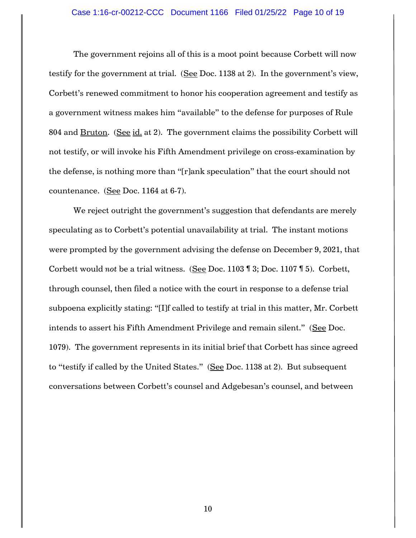## Case 1:16-cr-00212-CCC Document 1166 Filed 01/25/22 Page 10 of 19

The government rejoins all of this is a moot point because Corbett will now testify for the government at trial. (See Doc. 1138 at 2). In the government's view, Corbett's renewed commitment to honor his cooperation agreement and testify as a government witness makes him "available" to the defense for purposes of Rule 804 and Bruton. (See id. at 2). The government claims the possibility Corbett will not testify, or will invoke his Fifth Amendment privilege on cross-examination by the defense, is nothing more than "[r]ank speculation" that the court should not countenance. (See Doc. 1164 at 6-7).

We reject outright the government's suggestion that defendants are merely speculating as to Corbett's potential unavailability at trial. The instant motions were prompted by the government advising the defense on December 9, 2021, that Corbett would *not* be a trial witness. (See Doc. 1103 ¶ 3; Doc. 1107 ¶ 5). Corbett, through counsel, then filed a notice with the court in response to a defense trial subpoena explicitly stating: "[I]f called to testify at trial in this matter, Mr. Corbett intends to assert his Fifth Amendment Privilege and remain silent." (See Doc. 1079). The government represents in its initial brief that Corbett has since agreed to "testify if called by the United States." (See Doc. 1138 at 2). But subsequent conversations between Corbett's counsel and Adgebesan's counsel, and between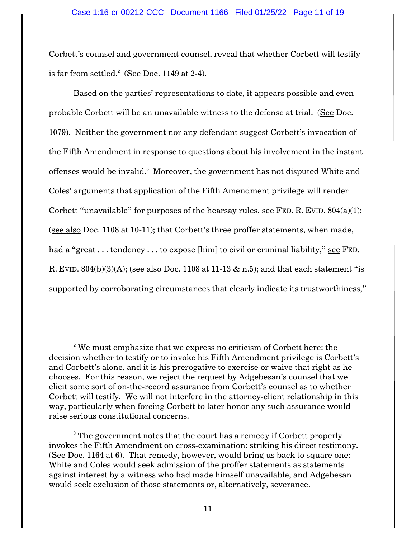Corbett's counsel and government counsel, reveal that whether Corbett will testify is far from settled. $^2$  (<u>See</u> Doc. 1149 at 2-4).

Based on the parties' representations to date, it appears possible and even probable Corbett will be an unavailable witness to the defense at trial. (See Doc. 1079). Neither the government nor any defendant suggest Corbett's invocation of the Fifth Amendment in response to questions about his involvement in the instant offenses would be invalid. $^3\,$  Moreover, the government has not disputed White and Coles' arguments that application of the Fifth Amendment privilege will render Corbett "unavailable" for purposes of the hearsay rules, see FED. R. EVID.  $804(a)(1)$ ; (see also Doc. 1108 at 10-11); that Corbett's three proffer statements, when made, had a "great . . . tendency . . . to expose [him] to civil or criminal liability," see FED. R. EVID.  $804(b)(3)(A)$ ; (see also Doc. 1108 at 11-13 & n.5); and that each statement "is supported by corroborating circumstances that clearly indicate its trustworthiness,"

 $2$ <sup>2</sup> We must emphasize that we express no criticism of Corbett here: the decision whether to testify or to invoke his Fifth Amendment privilege is Corbett's and Corbett's alone, and it is his prerogative to exercise or waive that right as he chooses. For this reason, we reject the request by Adgebesan's counsel that we elicit some sort of on-the-record assurance from Corbett's counsel as to whether Corbett will testify. We will not interfere in the attorney-client relationship in this way, particularly when forcing Corbett to later honor any such assurance would raise serious constitutional concerns.

<sup>&</sup>lt;sup>3</sup> The government notes that the court has a remedy if Corbett properly invokes the Fifth Amendment on cross-examination: striking his direct testimony. (See Doc. 1164 at 6). That remedy, however, would bring us back to square one: White and Coles would seek admission of the proffer statements as statements against interest by a witness who had made himself unavailable, and Adgebesan would seek exclusion of those statements or, alternatively, severance.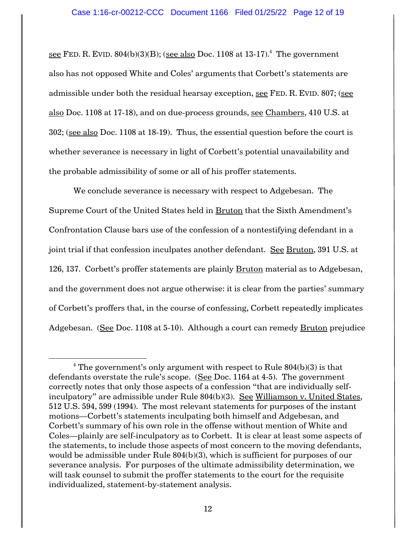<u>see</u> FED. R. EVID.  $804(b)(3)(B)$ ; (see also Doc. 1108 at 13-17). $^4$  The government also has not opposed White and Coles' arguments that Corbett's statements are admissible under both the residual hearsay exception, see FED. R. EVID. 807; (see also Doc. 1108 at 17-18), and on due-process grounds, see Chambers, 410 U.S. at 302; (see also Doc. 1108 at 18-19). Thus, the essential question before the court is whether severance is necessary in light of Corbett's potential unavailability and the probable admissibility of some or all of his proffer statements.

We conclude severance is necessary with respect to Adgebesan. The Supreme Court of the United States held in Bruton that the Sixth Amendment's Confrontation Clause bars use of the confession of a nontestifying defendant in a joint trial if that confession inculpates another defendant. See Bruton, 391 U.S. at 126, 137. Corbett's proffer statements are plainly Bruton material as to Adgebesan, and the government does not argue otherwise: it is clear from the parties' summary of Corbett's proffers that, in the course of confessing, Corbett repeatedly implicates Adgebesan. (See Doc. 1108 at 5-10). Although a court can remedy Bruton prejudice

<sup>&</sup>lt;sup>4</sup> The government's only argument with respect to Rule  $804(b)(3)$  is that defendants overstate the rule's scope. (See Doc. 1164 at 4-5). The government correctly notes that only those aspects of a confession "that are individually selfinculpatory" are admissible under Rule 804(b)(3). See Williamson v. United States, 512 U.S. 594, 599 (1994). The most relevant statements for purposes of the instant motions—Corbett's statements inculpating both himself and Adgebesan, and Corbett's summary of his own role in the offense without mention of White and Coles—plainly are self-inculpatory as to Corbett. It is clear at least some aspects of the statements, to include those aspects of most concern to the moving defendants, would be admissible under Rule 804(b)(3), which is sufficient for purposes of our severance analysis. For purposes of the ultimate admissibility determination, we will task counsel to submit the proffer statements to the court for the requisite individualized, statement-by-statement analysis.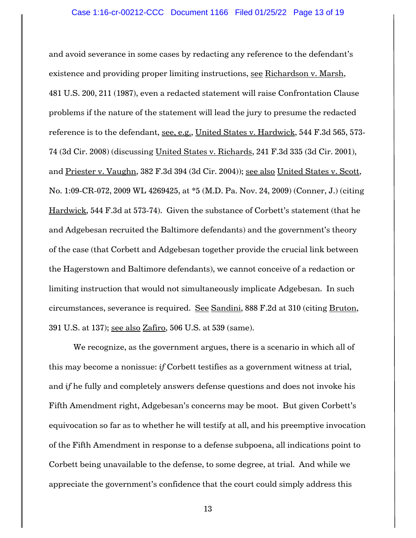and avoid severance in some cases by redacting any reference to the defendant's existence and providing proper limiting instructions, see Richardson v. Marsh, 481 U.S. 200, 211 (1987), even a redacted statement will raise Confrontation Clause problems if the nature of the statement will lead the jury to presume the redacted reference is to the defendant, see, e.g., United States v. Hardwick, 544 F.3d 565, 573- 74 (3d Cir. 2008) (discussing United States v. Richards, 241 F.3d 335 (3d Cir. 2001), and Priester v. Vaughn, 382 F.3d 394 (3d Cir. 2004)); see also United States v. Scott, No. 1:09-CR-072, 2009 WL 4269425, at \*5 (M.D. Pa. Nov. 24, 2009) (Conner, J.) (citing Hardwick, 544 F.3d at 573-74). Given the substance of Corbett's statement (that he and Adgebesan recruited the Baltimore defendants) and the government's theory of the case (that Corbett and Adgebesan together provide the crucial link between the Hagerstown and Baltimore defendants), we cannot conceive of a redaction or limiting instruction that would not simultaneously implicate Adgebesan. In such circumstances, severance is required. See Sandini, 888 F.2d at 310 (citing Bruton, 391 U.S. at 137); see also Zafiro, 506 U.S. at 539 (same).

We recognize, as the government argues, there is a scenario in which all of this may become a nonissue: *if* Corbett testifies as a government witness at trial, and *if* he fully and completely answers defense questions and does not invoke his Fifth Amendment right, Adgebesan's concerns may be moot. But given Corbett's equivocation so far as to whether he will testify at all, and his preemptive invocation of the Fifth Amendment in response to a defense subpoena, all indications point to Corbett being unavailable to the defense, to some degree, at trial. And while we appreciate the government's confidence that the court could simply address this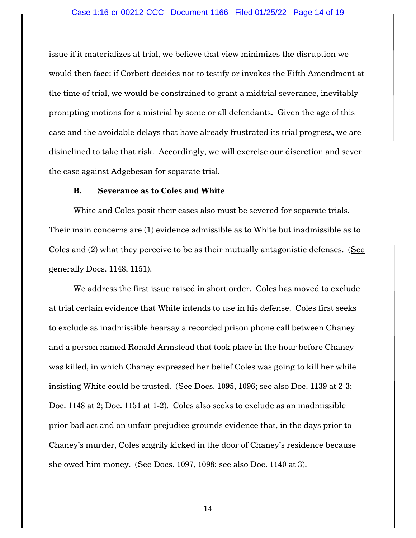#### Case 1:16-cr-00212-CCC Document 1166 Filed 01/25/22 Page 14 of 19

issue if it materializes at trial, we believe that view minimizes the disruption we would then face: if Corbett decides not to testify or invokes the Fifth Amendment at the time of trial, we would be constrained to grant a midtrial severance, inevitably prompting motions for a mistrial by some or all defendants. Given the age of this case and the avoidable delays that have already frustrated its trial progress, we are disinclined to take that risk. Accordingly, we will exercise our discretion and sever the case against Adgebesan for separate trial.

# **B. Severance as to Coles and White**

White and Coles posit their cases also must be severed for separate trials. Their main concerns are (1) evidence admissible as to White but inadmissible as to Coles and (2) what they perceive to be as their mutually antagonistic defenses. (See generally Docs. 1148, 1151).

We address the first issue raised in short order. Coles has moved to exclude at trial certain evidence that White intends to use in his defense. Coles first seeks to exclude as inadmissible hearsay a recorded prison phone call between Chaney and a person named Ronald Armstead that took place in the hour before Chaney was killed, in which Chaney expressed her belief Coles was going to kill her while insisting White could be trusted. (See Docs. 1095, 1096; see also Doc. 1139 at 2-3; Doc. 1148 at 2; Doc. 1151 at 1-2). Coles also seeks to exclude as an inadmissible prior bad act and on unfair-prejudice grounds evidence that, in the days prior to Chaney's murder, Coles angrily kicked in the door of Chaney's residence because she owed him money. (See Docs. 1097, 1098; see also Doc. 1140 at 3).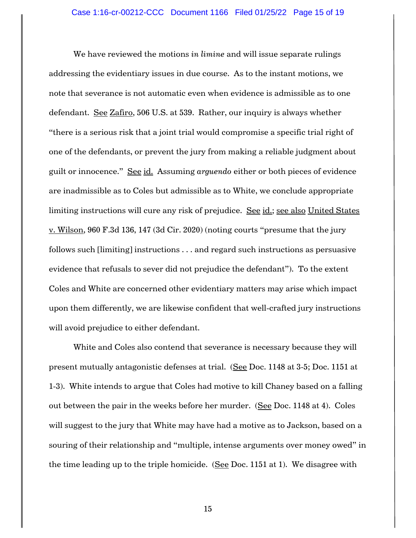We have reviewed the motions *in limine* and will issue separate rulings addressing the evidentiary issues in due course. As to the instant motions, we note that severance is not automatic even when evidence is admissible as to one defendant. See Zafiro, 506 U.S. at 539. Rather, our inquiry is always whether "there is a serious risk that a joint trial would compromise a specific trial right of one of the defendants, or prevent the jury from making a reliable judgment about guilt or innocence." See id. Assuming *arguendo* either or both pieces of evidence are inadmissible as to Coles but admissible as to White, we conclude appropriate limiting instructions will cure any risk of prejudice. See id.; see also United States v. Wilson, 960 F.3d 136, 147 (3d Cir. 2020) (noting courts "presume that the jury follows such [limiting] instructions . . . and regard such instructions as persuasive evidence that refusals to sever did not prejudice the defendant"). To the extent Coles and White are concerned other evidentiary matters may arise which impact upon them differently, we are likewise confident that well-crafted jury instructions will avoid prejudice to either defendant.

White and Coles also contend that severance is necessary because they will present mutually antagonistic defenses at trial. (See Doc. 1148 at 3-5; Doc. 1151 at 1-3). White intends to argue that Coles had motive to kill Chaney based on a falling out between the pair in the weeks before her murder. (See Doc. 1148 at 4). Coles will suggest to the jury that White may have had a motive as to Jackson, based on a souring of their relationship and "multiple, intense arguments over money owed" in the time leading up to the triple homicide. (See Doc. 1151 at 1). We disagree with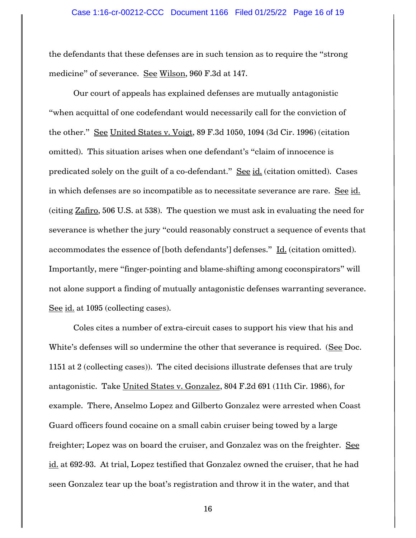the defendants that these defenses are in such tension as to require the "strong medicine" of severance. See Wilson, 960 F.3d at 147.

Our court of appeals has explained defenses are mutually antagonistic "when acquittal of one codefendant would necessarily call for the conviction of the other." See United States v. Voigt, 89 F.3d 1050, 1094 (3d Cir. 1996) (citation omitted). This situation arises when one defendant's "claim of innocence is predicated solely on the guilt of a co-defendant." See id. (citation omitted). Cases in which defenses are so incompatible as to necessitate severance are rare. See id. (citing Zafiro, 506 U.S. at 538). The question we must ask in evaluating the need for severance is whether the jury "could reasonably construct a sequence of events that accommodates the essence of [both defendants'] defenses."  $\underline{\text{Id}}$ . (citation omitted). Importantly, mere "finger-pointing and blame-shifting among coconspirators" will not alone support a finding of mutually antagonistic defenses warranting severance. See id. at 1095 (collecting cases).

Coles cites a number of extra-circuit cases to support his view that his and White's defenses will so undermine the other that severance is required. (See Doc. 1151 at 2 (collecting cases)). The cited decisions illustrate defenses that are truly antagonistic. Take United States v. Gonzalez, 804 F.2d 691 (11th Cir. 1986), for example. There, Anselmo Lopez and Gilberto Gonzalez were arrested when Coast Guard officers found cocaine on a small cabin cruiser being towed by a large freighter; Lopez was on board the cruiser, and Gonzalez was on the freighter. See id. at 692-93. At trial, Lopez testified that Gonzalez owned the cruiser, that he had seen Gonzalez tear up the boat's registration and throw it in the water, and that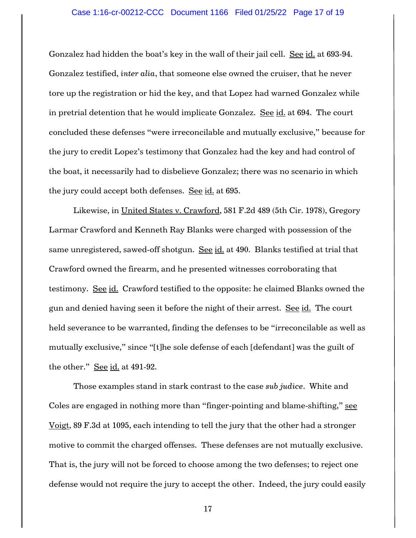#### Case 1:16-cr-00212-CCC Document 1166 Filed 01/25/22 Page 17 of 19

Gonzalez had hidden the boat's key in the wall of their jail cell. See id. at 693-94. Gonzalez testified, *inter alia*, that someone else owned the cruiser, that he never tore up the registration or hid the key, and that Lopez had warned Gonzalez while in pretrial detention that he would implicate Gonzalez. See id. at 694. The court concluded these defenses "were irreconcilable and mutually exclusive," because for the jury to credit Lopez's testimony that Gonzalez had the key and had control of the boat, it necessarily had to disbelieve Gonzalez; there was no scenario in which the jury could accept both defenses. See id. at 695.

Likewise, in United States v. Crawford, 581 F.2d 489 (5th Cir. 1978), Gregory Larmar Crawford and Kenneth Ray Blanks were charged with possession of the same unregistered, sawed-off shotgun. See id. at 490. Blanks testified at trial that Crawford owned the firearm, and he presented witnesses corroborating that testimony. See id. Crawford testified to the opposite: he claimed Blanks owned the gun and denied having seen it before the night of their arrest. See id. The court held severance to be warranted, finding the defenses to be "irreconcilable as well as mutually exclusive," since "[t]he sole defense of each [defendant] was the guilt of the other." See id. at 491-92.

Those examples stand in stark contrast to the case *sub judice*. White and Coles are engaged in nothing more than "finger-pointing and blame-shifting," see Voigt, 89 F.3d at 1095, each intending to tell the jury that the other had a stronger motive to commit the charged offenses. These defenses are not mutually exclusive. That is, the jury will not be forced to choose among the two defenses; to reject one defense would not require the jury to accept the other. Indeed, the jury could easily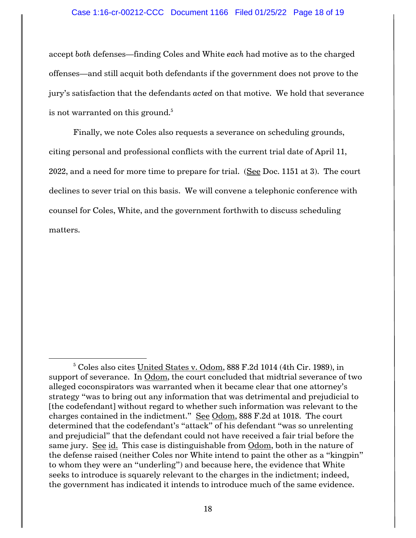## Case 1:16-cr-00212-CCC Document 1166 Filed 01/25/22 Page 18 of 19

accept *both* defenses—finding Coles and White *each* had motive as to the charged offenses—and still acquit both defendants if the government does not prove to the jury's satisfaction that the defendants *acted* on that motive. We hold that severance is not warranted on this ground.<sup>5</sup>

Finally, we note Coles also requests a severance on scheduling grounds, citing personal and professional conflicts with the current trial date of April 11, 2022, and a need for more time to prepare for trial. (See Doc. 1151 at 3). The court declines to sever trial on this basis. We will convene a telephonic conference with counsel for Coles, White, and the government forthwith to discuss scheduling matters.

<sup>5</sup> Coles also cites United States v. Odom, 888 F.2d 1014 (4th Cir. 1989), in support of severance. In Odom, the court concluded that midtrial severance of two alleged coconspirators was warranted when it became clear that one attorney's strategy "was to bring out any information that was detrimental and prejudicial to [the codefendant] without regard to whether such information was relevant to the charges contained in the indictment." See Odom, 888 F.2d at 1018. The court determined that the codefendant's "attack" of his defendant "was so unrelenting and prejudicial" that the defendant could not have received a fair trial before the same jury. See id. This case is distinguishable from Odom, both in the nature of the defense raised (neither Coles nor White intend to paint the other as a "kingpin" to whom they were an "underling") and because here, the evidence that White seeks to introduce is squarely relevant to the charges in the indictment; indeed, the government has indicated it intends to introduce much of the same evidence.